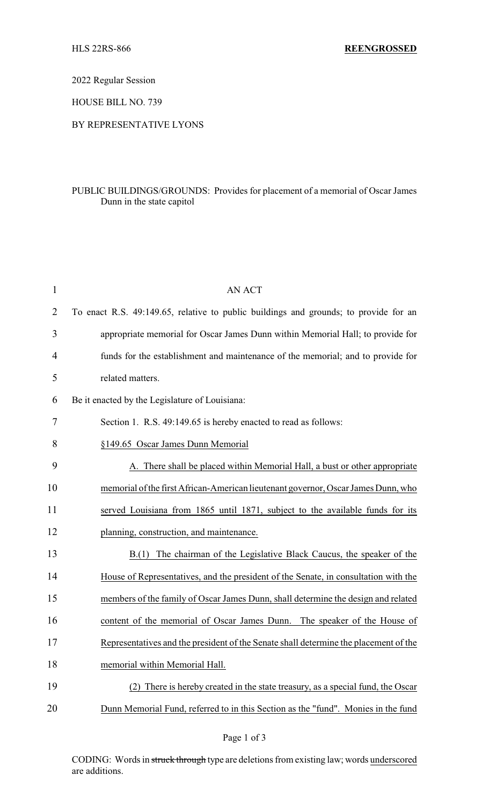2022 Regular Session

HOUSE BILL NO. 739

## BY REPRESENTATIVE LYONS

## PUBLIC BUILDINGS/GROUNDS: Provides for placement of a memorial of Oscar James Dunn in the state capitol

| $\mathbf{1}$   | <b>AN ACT</b>                                                                        |
|----------------|--------------------------------------------------------------------------------------|
| $\overline{2}$ | To enact R.S. 49:149.65, relative to public buildings and grounds; to provide for an |
| 3              | appropriate memorial for Oscar James Dunn within Memorial Hall; to provide for       |
| 4              | funds for the establishment and maintenance of the memorial; and to provide for      |
| 5              | related matters.                                                                     |
| 6              | Be it enacted by the Legislature of Louisiana:                                       |
| 7              | Section 1. R.S. 49:149.65 is hereby enacted to read as follows:                      |
| 8              | §149.65 Oscar James Dunn Memorial                                                    |
| 9              | There shall be placed within Memorial Hall, a bust or other appropriate              |
| 10             | memorial of the first African-American lieutenant governor, Oscar James Dunn, who    |
| 11             | served Louisiana from 1865 until 1871, subject to the available funds for its        |
| 12             | planning, construction, and maintenance.                                             |
| 13             | The chairman of the Legislative Black Caucus, the speaker of the<br>B(1)             |
| 14             | House of Representatives, and the president of the Senate, in consultation with the  |
| 15             | members of the family of Oscar James Dunn, shall determine the design and related    |
| 16             | content of the memorial of Oscar James Dunn. The speaker of the House of             |
| 17             | Representatives and the president of the Senate shall determine the placement of the |
| 18             | memorial within Memorial Hall.                                                       |
| 19             | There is hereby created in the state treasury, as a special fund, the Oscar          |
| 20             | Dunn Memorial Fund, referred to in this Section as the "fund". Monies in the fund    |

CODING: Words in struck through type are deletions from existing law; words underscored are additions.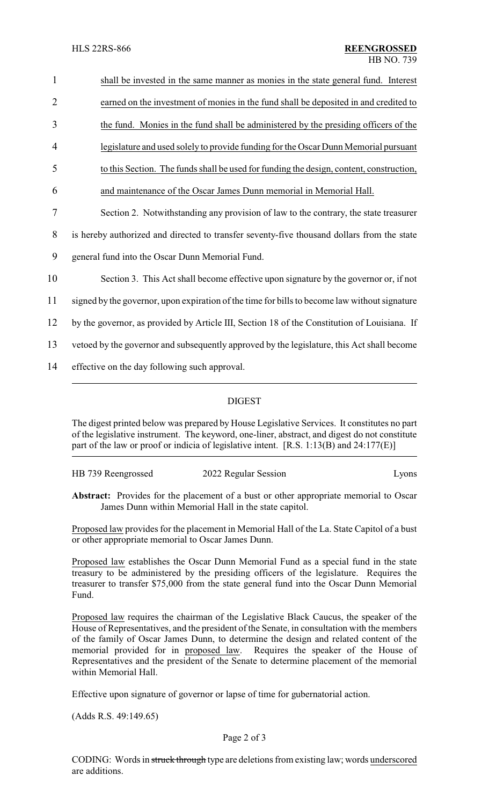| $\mathbf{1}$   | shall be invested in the same manner as monies in the state general fund. Interest            |
|----------------|-----------------------------------------------------------------------------------------------|
| $\overline{2}$ | earned on the investment of monies in the fund shall be deposited in and credited to          |
| 3              | the fund. Monies in the fund shall be administered by the presiding officers of the           |
| 4              | legislature and used solely to provide funding for the Oscar Dunn Memorial pursuant           |
| 5              | to this Section. The funds shall be used for funding the design, content, construction,       |
| 6              | and maintenance of the Oscar James Dunn memorial in Memorial Hall.                            |
| $\tau$         | Section 2. Notwithstanding any provision of law to the contrary, the state treasurer          |
| 8              | is hereby authorized and directed to transfer seventy-five thousand dollars from the state    |
| 9              | general fund into the Oscar Dunn Memorial Fund.                                               |
| 10             | Section 3. This Act shall become effective upon signature by the governor or, if not          |
| 11             | signed by the governor, upon expiration of the time for bills to become law without signature |
| 12             | by the governor, as provided by Article III, Section 18 of the Constitution of Louisiana. If  |
| 13             | vetoed by the governor and subsequently approved by the legislature, this Act shall become    |
| 14             | effective on the day following such approval.                                                 |
|                |                                                                                               |

## DIGEST

The digest printed below was prepared by House Legislative Services. It constitutes no part of the legislative instrument. The keyword, one-liner, abstract, and digest do not constitute part of the law or proof or indicia of legislative intent. [R.S. 1:13(B) and 24:177(E)]

HB 739 Reengrossed 2022 Regular Session Lyons

**Abstract:** Provides for the placement of a bust or other appropriate memorial to Oscar James Dunn within Memorial Hall in the state capitol.

Proposed law provides for the placement in Memorial Hall of the La. State Capitol of a bust or other appropriate memorial to Oscar James Dunn.

Proposed law establishes the Oscar Dunn Memorial Fund as a special fund in the state treasury to be administered by the presiding officers of the legislature. Requires the treasurer to transfer \$75,000 from the state general fund into the Oscar Dunn Memorial Fund.

Proposed law requires the chairman of the Legislative Black Caucus, the speaker of the House of Representatives, and the president of the Senate, in consultation with the members of the family of Oscar James Dunn, to determine the design and related content of the memorial provided for in proposed law. Requires the speaker of the House of Representatives and the president of the Senate to determine placement of the memorial within Memorial Hall.

Effective upon signature of governor or lapse of time for gubernatorial action.

(Adds R.S. 49:149.65)